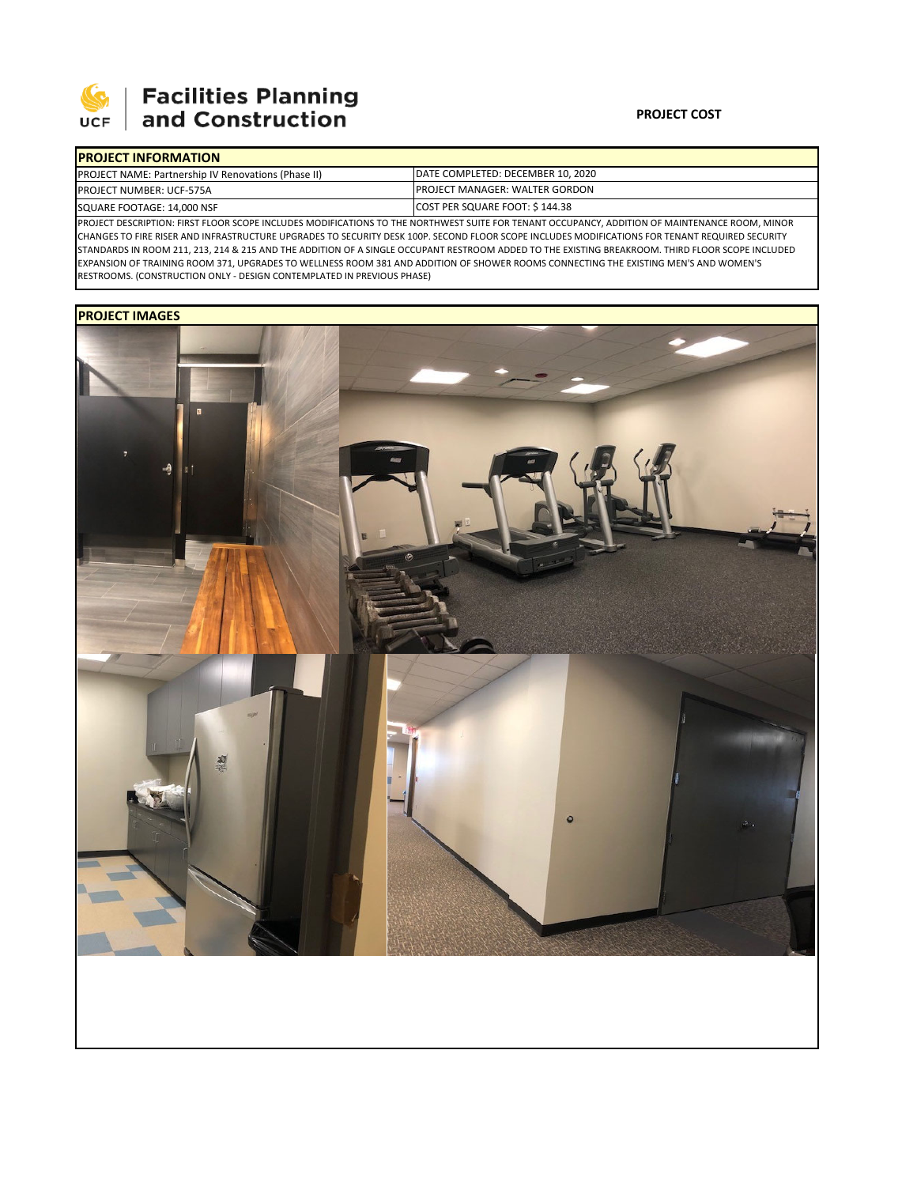

# 

### **PROJECT COST**

| <b>IPROJECT INFORMATION</b>                                                                                                                     |                                        |  |  |  |
|-------------------------------------------------------------------------------------------------------------------------------------------------|----------------------------------------|--|--|--|
| <b>PROJECT NAME: Partnership IV Renovations (Phase II)</b>                                                                                      | DATE COMPLETED: DECEMBER 10, 2020      |  |  |  |
| <b>PROJECT NUMBER: UCF-575A</b>                                                                                                                 | <b>IPROJECT MANAGER: WALTER GORDON</b> |  |  |  |
| SQUARE FOOTAGE: 14,000 NSF                                                                                                                      | COST PER SQUARE FOOT: \$144.38         |  |  |  |
| IPROJECT DESCRIPTION: FIRST FLOOR SCOPE INCLUDES MODIFICATIONS TO THE NORTHWEST SUITE FOR TENANT OCCUPANCY. ADDITION OF MAINTENANCE ROOM, MINOR |                                        |  |  |  |

PROJECT DESCRIPTION: FIRST FLOOR SCOPE INCLUDES MODIFICATIONS TO THE NORTHWEST SUITE FOR TENANT OCCUPANCY, ADDITION OF MAINTENANCE ROOM, MINOR CHANGES TO FIRE RISER AND INFRASTRUCTURE UPGRADES TO SECURITY DESK 100P. SECOND FLOOR SCOPE INCLUDES MODIFICATIONS FOR TENANT REQUIRED SECURITY STANDARDS IN ROOM 211, 213, 214 & 215 AND THE ADDITION OF A SINGLE OCCUPANT RESTROOM ADDED TO THE EXISTING BREAKROOM. THIRD FLOOR SCOPE INCLUDED EXPANSION OF TRAINING ROOM 371, UPGRADES TO WELLNESS ROOM 381 AND ADDITION OF SHOWER ROOMS CONNECTING THE EXISTING MEN'S AND WOMEN'S RESTROOMS. (CONSTRUCTION ONLY ‐ DESIGN CONTEMPLATED IN PREVIOUS PHASE)

### **PROJECT IMAGES**